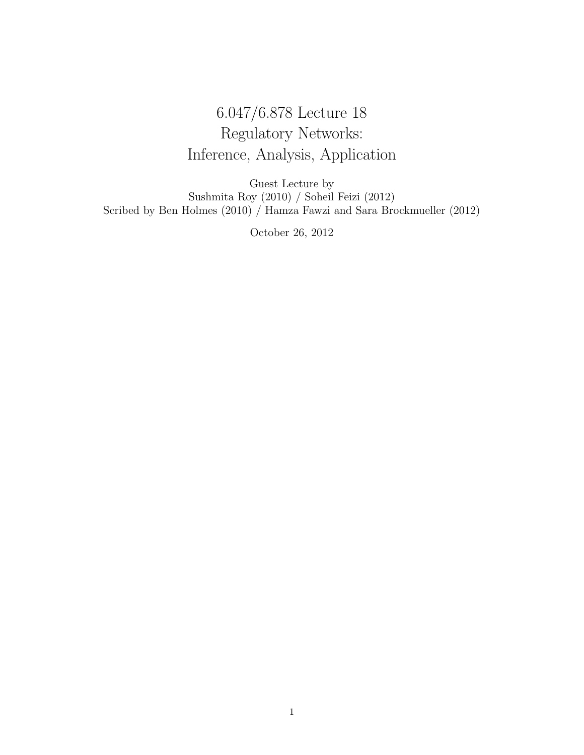# 6.047/6.878 Lecture 18 Regulatory Networks: Inference, Analysis, Application

Guest Lecture by Sushmita Roy (2010) / Soheil Feizi (2012) Scribed by Ben Holmes (2010) / Hamza Fawzi and Sara Brockmueller (2012)

October 26, 2012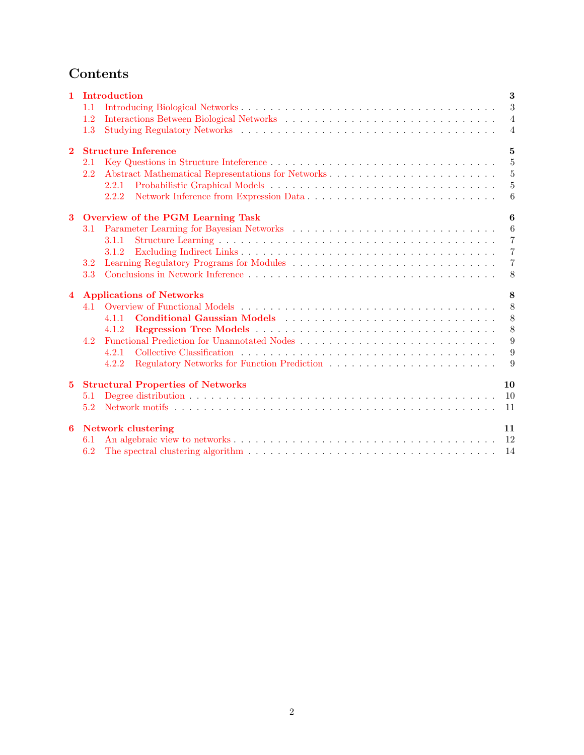## Contents

| $\mathbf{1}$   | Introduction                                                                                                                         | 3               |  |  |  |  |  |  |  |  |  |  |
|----------------|--------------------------------------------------------------------------------------------------------------------------------------|-----------------|--|--|--|--|--|--|--|--|--|--|
|                | 1.1                                                                                                                                  | 3               |  |  |  |  |  |  |  |  |  |  |
|                | 1.2                                                                                                                                  | $\overline{4}$  |  |  |  |  |  |  |  |  |  |  |
|                | 1.3                                                                                                                                  | $\overline{4}$  |  |  |  |  |  |  |  |  |  |  |
| $\mathbf{2}$   | <b>Structure Inference</b>                                                                                                           | 5               |  |  |  |  |  |  |  |  |  |  |
|                | 2.1                                                                                                                                  | 5               |  |  |  |  |  |  |  |  |  |  |
|                | 2.2                                                                                                                                  | $\overline{5}$  |  |  |  |  |  |  |  |  |  |  |
|                | 2.2.1                                                                                                                                | $\overline{5}$  |  |  |  |  |  |  |  |  |  |  |
|                | 2.2.2                                                                                                                                | $6\phantom{.}6$ |  |  |  |  |  |  |  |  |  |  |
| $\bf{3}$       | Overview of the PGM Learning Task                                                                                                    | 6               |  |  |  |  |  |  |  |  |  |  |
|                | 3.1                                                                                                                                  | $6\phantom{.}6$ |  |  |  |  |  |  |  |  |  |  |
|                | 3.1.1                                                                                                                                | $\overline{7}$  |  |  |  |  |  |  |  |  |  |  |
|                | 3.1.2                                                                                                                                | $\overline{7}$  |  |  |  |  |  |  |  |  |  |  |
|                | 3.2                                                                                                                                  | $\overline{7}$  |  |  |  |  |  |  |  |  |  |  |
|                | 3.3                                                                                                                                  | 8               |  |  |  |  |  |  |  |  |  |  |
| $\overline{4}$ | <b>Applications of Networks</b>                                                                                                      | 8               |  |  |  |  |  |  |  |  |  |  |
|                | 4.1                                                                                                                                  | 8               |  |  |  |  |  |  |  |  |  |  |
|                | 4.1.1                                                                                                                                | 8               |  |  |  |  |  |  |  |  |  |  |
|                | 4.1.2                                                                                                                                | 8               |  |  |  |  |  |  |  |  |  |  |
|                | 4.2                                                                                                                                  | 9               |  |  |  |  |  |  |  |  |  |  |
|                | 4.2.1                                                                                                                                | 9               |  |  |  |  |  |  |  |  |  |  |
|                | 4.2.2                                                                                                                                | 9               |  |  |  |  |  |  |  |  |  |  |
| $5^{\circ}$    | <b>Structural Properties of Networks</b>                                                                                             | 10              |  |  |  |  |  |  |  |  |  |  |
|                | 5.1                                                                                                                                  | 10              |  |  |  |  |  |  |  |  |  |  |
|                | 5.2                                                                                                                                  | 11              |  |  |  |  |  |  |  |  |  |  |
| 6              | <b>Network clustering</b><br>11                                                                                                      |                 |  |  |  |  |  |  |  |  |  |  |
|                | 6.1                                                                                                                                  | 12              |  |  |  |  |  |  |  |  |  |  |
|                | The spectral clustering algorithm $\dots \dots \dots \dots \dots \dots \dots \dots \dots \dots \dots \dots \dots \dots \dots$<br>6.2 | 14              |  |  |  |  |  |  |  |  |  |  |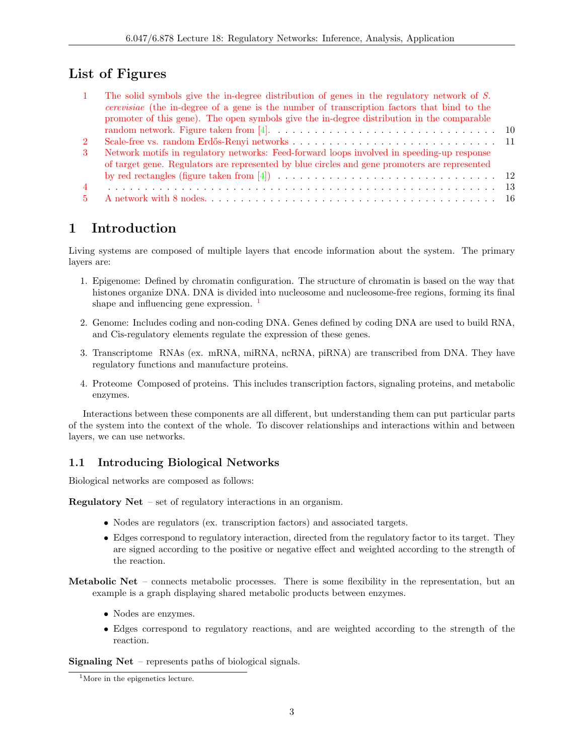### List of Figures

|    | The solid symbols give the in-degree distribution of genes in the regulatory network of S.                                  |  |
|----|-----------------------------------------------------------------------------------------------------------------------------|--|
|    | <i>cerevisiae</i> (the in-degree of a gene is the number of transcription factors that bind to the                          |  |
|    | promoter of this gene). The open symbols give the in-degree distribution in the comparable                                  |  |
|    |                                                                                                                             |  |
|    |                                                                                                                             |  |
| -3 | Network motifs in regulatory networks: Feed-forward loops involved in speeding-up response                                  |  |
|    | of target gene. Regulators are represented by blue circles and gene promoters are represented                               |  |
|    | by red rectangles (figure taken from [4]) $\ldots \ldots \ldots \ldots \ldots \ldots \ldots \ldots \ldots \ldots \ldots 12$ |  |
| -4 |                                                                                                                             |  |
|    |                                                                                                                             |  |

### <span id="page-2-0"></span>1 Introduction

Living systems are composed of multiple layers that encode information about the system. The primary layers are:

- 1. Epigenome: Defined by chromatin configuration. The structure of chromatin is based on the way that histones organize DNA. DNA is divided into nucleosome and nucleosome-free regions, forming its final shape and influencing gene expression.<sup>[1](#page-2-2)</sup>
- 2. Genome: Includes coding and non-coding DNA. Genes defined by coding DNA are used to build RNA, and Cis-regulatory elements regulate the expression of these genes.
- 3. Transcriptome RNAs (ex. mRNA, miRNA, ncRNA, piRNA) are transcribed from DNA. They have regulatory functions and manufacture proteins.
- 4. Proteome Composed of proteins. This includes transcription factors, signaling proteins, and metabolic enzymes.

Interactions between these components are all different, but understanding them can put particular parts of the system into the context of the whole. To discover relationships and interactions within and between layers, we can use networks.

### <span id="page-2-1"></span>1.1 Introducing Biological Networks

Biological networks are composed as follows:

Regulatory Net – set of regulatory interactions in an organism.

- Nodes are regulators (ex. transcription factors) and associated targets.
- Edges correspond to regulatory interaction, directed from the regulatory factor to its target. They are signed according to the positive or negative effect and weighted according to the strength of the reaction.
- Metabolic Net connects metabolic processes. There is some flexibility in the representation, but an example is a graph displaying shared metabolic products between enzymes.
	- Nodes are enzymes.
	- Edges correspond to regulatory reactions, and are weighted according to the strength of the reaction.

Signaling Net – represents paths of biological signals.

<span id="page-2-2"></span><sup>&</sup>lt;sup>1</sup>More in the epigenetics lecture.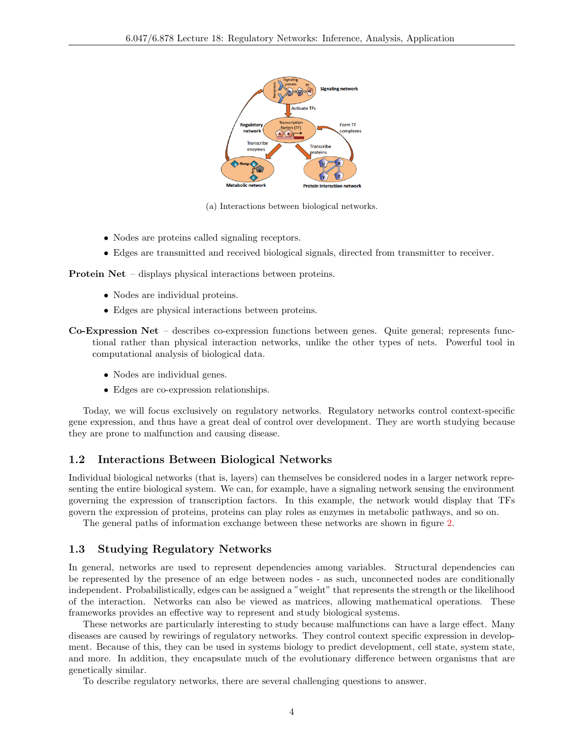

(a) Interactions between biological networks.

- Nodes are proteins called signaling receptors.
- Edges are transmitted and received biological signals, directed from transmitter to receiver.

Protein Net – displays physical interactions between proteins.

- Nodes are individual proteins.
- Edges are physical interactions between proteins.
- Co-Expression Net describes co-expression functions between genes. Quite general; represents functional rather than physical interaction networks, unlike the other types of nets. Powerful tool in computational analysis of biological data.
	- Nodes are individual genes.
	- Edges are co-expression relationships.

Today, we will focus exclusively on regulatory networks. Regulatory networks control context-specific gene expression, and thus have a great deal of control over development. They are worth studying because they are prone to malfunction and causing disease.

#### <span id="page-3-0"></span>1.2 Interactions Between Biological Networks

Individual biological networks (that is, layers) can themselves be considered nodes in a larger network representing the entire biological system. We can, for example, have a signaling network sensing the environment governing the expression of transcription factors. In this example, the network would display that TFs govern the expression of proteins, proteins can play roles as enzymes in metabolic pathways, and so on.

The general paths of information exchange between these networks are shown in figure [2.](#page-10-2)

#### <span id="page-3-1"></span>1.3 Studying Regulatory Networks

In general, networks are used to represent dependencies among variables. Structural dependencies can be represented by the presence of an edge between nodes - as such, unconnected nodes are conditionally independent. Probabilistically, edges can be assigned a "weight" that represents the strength or the likelihood of the interaction. Networks can also be viewed as matrices, allowing mathematical operations. These frameworks provides an effective way to represent and study biological systems.

These networks are particularly interesting to study because malfunctions can have a large effect. Many diseases are caused by rewirings of regulatory networks. They control context specific expression in development. Because of this, they can be used in systems biology to predict development, cell state, system state, and more. In addition, they encapsulate much of the evolutionary difference between organisms that are genetically similar.

To describe regulatory networks, there are several challenging questions to answer.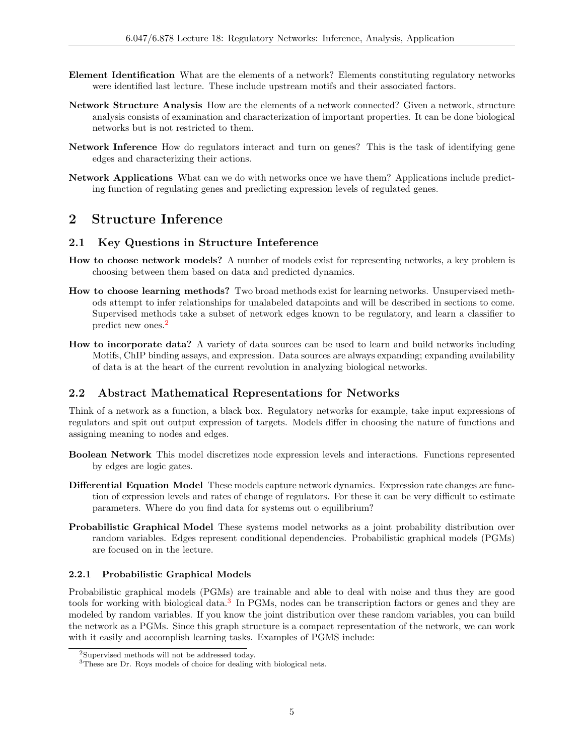- Element Identification What are the elements of a network? Elements constituting regulatory networks were identified last lecture. These include upstream motifs and their associated factors.
- Network Structure Analysis How are the elements of a network connected? Given a network, structure analysis consists of examination and characterization of important properties. It can be done biological networks but is not restricted to them.
- Network Inference How do regulators interact and turn on genes? This is the task of identifying gene edges and characterizing their actions.
- Network Applications What can we do with networks once we have them? Applications include predicting function of regulating genes and predicting expression levels of regulated genes.

### <span id="page-4-0"></span>2 Structure Inference

#### <span id="page-4-1"></span>2.1 Key Questions in Structure Inteference

- How to choose network models? A number of models exist for representing networks, a key problem is choosing between them based on data and predicted dynamics.
- How to choose learning methods? Two broad methods exist for learning networks. Unsupervised methods attempt to infer relationships for unalabeled datapoints and will be described in sections to come. Supervised methods take a subset of network edges known to be regulatory, and learn a classifier to predict new ones.[2](#page-4-4)
- How to incorporate data? A variety of data sources can be used to learn and build networks including Motifs, ChIP binding assays, and expression. Data sources are always expanding; expanding availability of data is at the heart of the current revolution in analyzing biological networks.

#### <span id="page-4-2"></span>2.2 Abstract Mathematical Representations for Networks

Think of a network as a function, a black box. Regulatory networks for example, take input expressions of regulators and spit out output expression of targets. Models differ in choosing the nature of functions and assigning meaning to nodes and edges.

- Boolean Network This model discretizes node expression levels and interactions. Functions represented by edges are logic gates.
- Differential Equation Model These models capture network dynamics. Expression rate changes are function of expression levels and rates of change of regulators. For these it can be very difficult to estimate parameters. Where do you find data for systems out o equilibrium?
- Probabilistic Graphical Model These systems model networks as a joint probability distribution over random variables. Edges represent conditional dependencies. Probabilistic graphical models (PGMs) are focused on in the lecture.

#### <span id="page-4-3"></span>2.2.1 Probabilistic Graphical Models

Probabilistic graphical models (PGMs) are trainable and able to deal with noise and thus they are good tools for working with biological data.<sup>[3](#page-4-5)</sup> In PGMs, nodes can be transcription factors or genes and they are modeled by random variables. If you know the joint distribution over these random variables, you can build the network as a PGMs. Since this graph structure is a compact representation of the network, we can work with it easily and accomplish learning tasks. Examples of PGMS include:

<span id="page-4-4"></span><sup>2</sup>Supervised methods will not be addressed today.

<span id="page-4-5"></span><sup>3</sup>These are Dr. Roys models of choice for dealing with biological nets.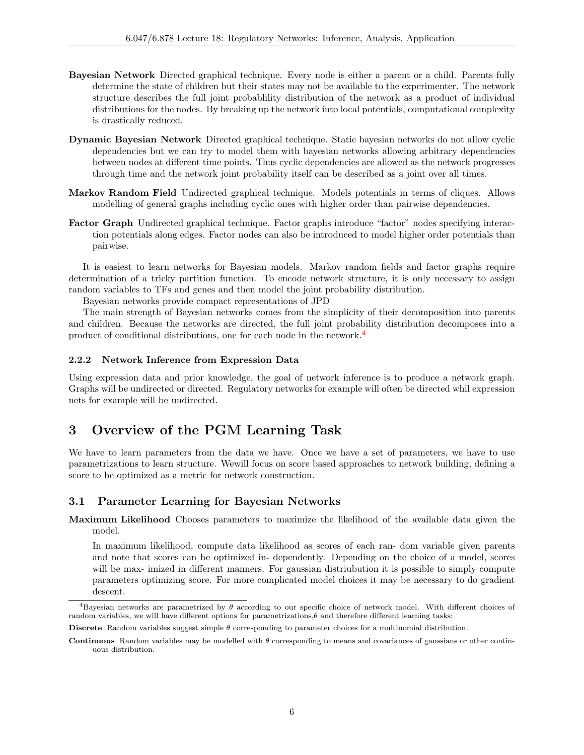- Bayesian Network Directed graphical technique. Every node is either a parent or a child. Parents fully determine the state of children but their states may not be available to the experimenter. The network structure describes the full joint probablility distribution of the network as a product of individual distributions for the nodes. By breaking up the network into local potentials, computational complexity is drastically reduced.
- Dynamic Bayesian Network Directed graphical technique. Static bayesian networks do not allow cyclic dependencies but we can try to model them with bayesian networks allowing arbitrary dependencies between nodes at different time points. Thus cyclic dependencies are allowed as the network progresses through time and the network joint probability itself can be described as a joint over all times.
- Markov Random Field Undirected graphical technique. Models potentials in terms of cliques. Allows modelling of general graphs including cyclic ones with higher order than pairwise dependencies.
- Factor Graph Undirected graphical technique. Factor graphs introduce "factor" nodes specifying interaction potentials along edges. Factor nodes can also be introduced to model higher order potentials than pairwise.

It is easiest to learn networks for Bayesian models. Markov random fields and factor graphs require determination of a tricky partition function. To encode network structure, it is only necessary to assign random variables to TFs and genes and then model the joint probability distribution.

Bayesian networks provide compact representations of JPD

The main strength of Bayesian networks comes from the simplicity of their decomposition into parents and children. Because the networks are directed, the full joint probability distribution decomposes into a product of conditional distributions, one for each node in the network.[4](#page-5-3)

#### <span id="page-5-0"></span>2.2.2 Network Inference from Expression Data

Using expression data and prior knowledge, the goal of network inference is to produce a network graph. Graphs will be undirected or directed. Regulatory networks for example will often be directed whil expression nets for example will be undirected.

### <span id="page-5-1"></span>3 Overview of the PGM Learning Task

We have to learn parameters from the data we have. Once we have a set of parameters, we have to use parametrizations to learn structure. Wewill focus on score based approaches to network building, defining a score to be optimized as a metric for network construction.

#### <span id="page-5-2"></span>3.1 Parameter Learning for Bayesian Networks

Maximum Likelihood Chooses parameters to maximize the likelihood of the available data given the model.

In maximum likelihood, compute data likelihood as scores of each ran- dom variable given parents and note that scores can be optimized in- dependently. Depending on the choice of a model, scores will be max- imized in different manners. For gaussian distriubution it is possible to simply compute parameters optimizing score. For more complicated model choices it may be necessary to do gradient descent.

<span id="page-5-3"></span><sup>&</sup>lt;sup>4</sup>Bayesian networks are parametrized by  $\theta$  according to our specific choice of network model. With different choices of random variables, we will have different options for parametrizations, $\theta$  and therefore different learning tasks:

Discrete Random variables suggest simple θ corresponding to parameter choices for a multinomial distribution.

Continuous Random variables may be modelled with  $\theta$  corresponding to means and covariances of gaussians or other continuous distribution.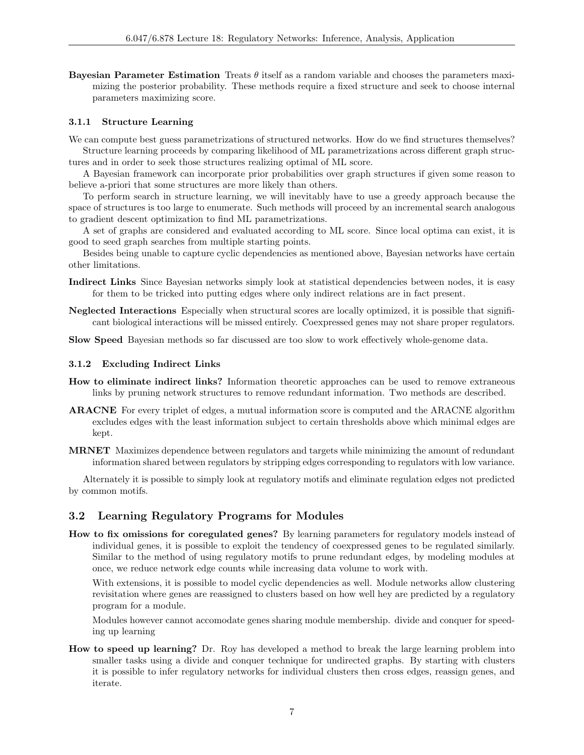**Bayesian Parameter Estimation** Treats  $\theta$  itself as a random variable and chooses the parameters maximizing the posterior probability. These methods require a fixed structure and seek to choose internal parameters maximizing score.

#### <span id="page-6-0"></span>3.1.1 Structure Learning

We can compute best guess parametrizations of structured networks. How do we find structures themselves? Structure learning proceeds by comparing likelihood of ML parametrizations across different graph structures and in order to seek those structures realizing optimal of ML score.

A Bayesian framework can incorporate prior probabilities over graph structures if given some reason to believe a-priori that some structures are more likely than others.

To perform search in structure learning, we will inevitably have to use a greedy approach because the space of structures is too large to enumerate. Such methods will proceed by an incremental search analogous to gradient descent optimization to find ML parametrizations.

A set of graphs are considered and evaluated according to ML score. Since local optima can exist, it is good to seed graph searches from multiple starting points.

Besides being unable to capture cyclic dependencies as mentioned above, Bayesian networks have certain other limitations.

- Indirect Links Since Bayesian networks simply look at statistical dependencies between nodes, it is easy for them to be tricked into putting edges where only indirect relations are in fact present.
- Neglected Interactions Especially when structural scores are locally optimized, it is possible that significant biological interactions will be missed entirely. Coexpressed genes may not share proper regulators.
- Slow Speed Bayesian methods so far discussed are too slow to work effectively whole-genome data.

#### <span id="page-6-1"></span>3.1.2 Excluding Indirect Links

- How to eliminate indirect links? Information theoretic approaches can be used to remove extraneous links by pruning network structures to remove redundant information. Two methods are described.
- ARACNE For every triplet of edges, a mutual information score is computed and the ARACNE algorithm excludes edges with the least information subject to certain thresholds above which minimal edges are kept.
- MRNET Maximizes dependence between regulators and targets while minimizing the amount of redundant information shared between regulators by stripping edges corresponding to regulators with low variance.

Alternately it is possible to simply look at regulatory motifs and eliminate regulation edges not predicted by common motifs.

#### <span id="page-6-2"></span>3.2 Learning Regulatory Programs for Modules

How to fix omissions for coregulated genes? By learning parameters for regulatory models instead of individual genes, it is possible to exploit the tendency of coexpressed genes to be regulated similarly. Similar to the method of using regulatory motifs to prune redundant edges, by modeling modules at once, we reduce network edge counts while increasing data volume to work with.

With extensions, it is possible to model cyclic dependencies as well. Module networks allow clustering revisitation where genes are reassigned to clusters based on how well hey are predicted by a regulatory program for a module.

Modules however cannot accomodate genes sharing module membership. divide and conquer for speeding up learning

How to speed up learning? Dr. Roy has developed a method to break the large learning problem into smaller tasks using a divide and conquer technique for undirected graphs. By starting with clusters it is possible to infer regulatory networks for individual clusters then cross edges, reassign genes, and iterate.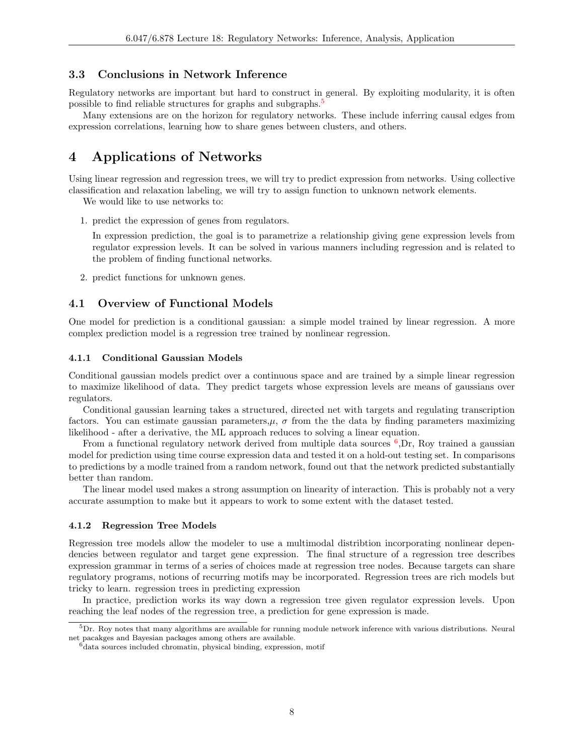#### <span id="page-7-0"></span>3.3 Conclusions in Network Inference

Regulatory networks are important but hard to construct in general. By exploiting modularity, it is often possible to find reliable structures for graphs and subgraphs.[5](#page-7-5)

Many extensions are on the horizon for regulatory networks. These include inferring causal edges from expression correlations, learning how to share genes between clusters, and others.

## <span id="page-7-1"></span>4 Applications of Networks

Using linear regression and regression trees, we will try to predict expression from networks. Using collective classification and relaxation labeling, we will try to assign function to unknown network elements.

We would like to use networks to:

1. predict the expression of genes from regulators.

In expression prediction, the goal is to parametrize a relationship giving gene expression levels from regulator expression levels. It can be solved in various manners including regression and is related to the problem of finding functional networks.

2. predict functions for unknown genes.

#### <span id="page-7-2"></span>4.1 Overview of Functional Models

One model for prediction is a conditional gaussian: a simple model trained by linear regression. A more complex prediction model is a regression tree trained by nonlinear regression.

#### <span id="page-7-3"></span>4.1.1 Conditional Gaussian Models

Conditional gaussian models predict over a continuous space and are trained by a simple linear regression to maximize likelihood of data. They predict targets whose expression levels are means of gaussians over regulators.

Conditional gaussian learning takes a structured, directed net with targets and regulating transcription factors. You can estimate gaussian parameters,  $\mu$ ,  $\sigma$  from the the data by finding parameters maximizing likelihood - after a derivative, the ML approach reduces to solving a linear equation.

From a functional regulatory network derived from multiple data sources <sup>[6](#page-7-6)</sup>, Dr, Roy trained a gaussian model for prediction using time course expression data and tested it on a hold-out testing set. In comparisons to predictions by a modle trained from a random network, found out that the network predicted substantially better than random.

The linear model used makes a strong assumption on linearity of interaction. This is probably not a very accurate assumption to make but it appears to work to some extent with the dataset tested.

#### <span id="page-7-4"></span>4.1.2 Regression Tree Models

Regression tree models allow the modeler to use a multimodal distribtion incorporating nonlinear dependencies between regulator and target gene expression. The final structure of a regression tree describes expression grammar in terms of a series of choices made at regression tree nodes. Because targets can share regulatory programs, notions of recurring motifs may be incorporated. Regression trees are rich models but tricky to learn. regression trees in predicting expression

In practice, prediction works its way down a regression tree given regulator expression levels. Upon reaching the leaf nodes of the regression tree, a prediction for gene expression is made.

<span id="page-7-5"></span><sup>5</sup>Dr. Roy notes that many algorithms are available for running module network inference with various distributions. Neural net pacakges and Bayesian packages among others are available.

<span id="page-7-6"></span> $6$ data sources included chromatin, physical binding, expression, motif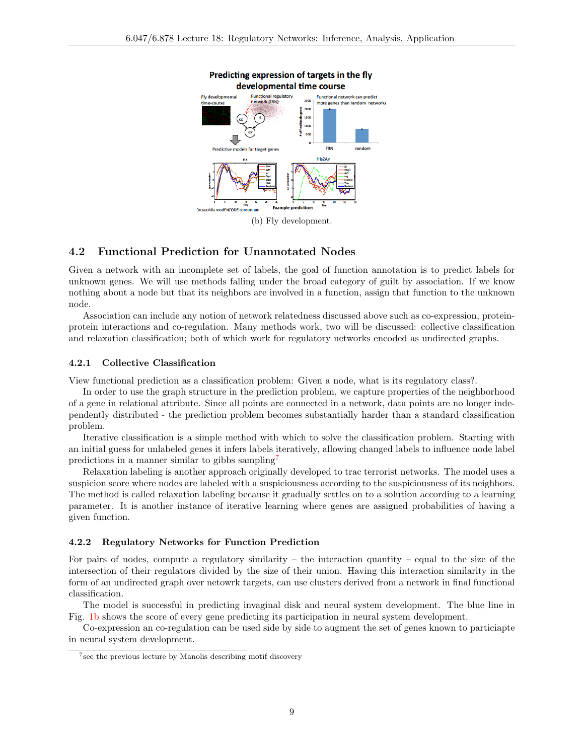<span id="page-8-4"></span>

(b) Fly development.

#### <span id="page-8-0"></span>4.2 Functional Prediction for Unannotated Nodes

Given a network with an incomplete set of labels, the goal of function annotation is to predict labels for unknown genes. We will use methods falling under the broad category of guilt by association. If we know nothing about a node but that its neighbors are involved in a function, assign that function to the unknown node.

Association can include any notion of network relatedness discussed above such as co-expression, proteinprotein interactions and co-regulation. Many methods work, two will be discussed: collective classification and relaxation classification; both of which work for regulatory networks encoded as undirected graphs.

#### <span id="page-8-1"></span>4.2.1 Collective Classification

View functional prediction as a classification problem: Given a node, what is its regulatory class?.

In order to use the graph structure in the prediction problem, we capture properties of the neighborhood of a gene in relational attribute. Since all points are connected in a network, data points are no longer independently distributed - the prediction problem becomes substantially harder than a standard classification problem.

Iterative classification is a simple method with which to solve the classification problem. Starting with an initial guess for unlabeled genes it infers labels iteratively, allowing changed labels to influence node label predictions in a manner similar to gibbs sampling[7](#page-8-3)

Relaxation labeling is another approach originally developed to trac terrorist networks. The model uses a suspicion score where nodes are labeled with a suspiciousness according to the suspiciousness of its neighbors. The method is called relaxation labeling because it gradually settles on to a solution according to a learning parameter. It is another instance of iterative learning where genes are assigned probabilities of having a given function.

#### <span id="page-8-2"></span>4.2.2 Regulatory Networks for Function Prediction

For pairs of nodes, compute a regulatory similarity – the interaction quantity – equal to the size of the intersection of their regulators divided by the size of their union. Having this interaction similarity in the form of an undirected graph over netowrk targets, can use clusters derived from a network in final functional classification.

The model is successful in predicting invaginal disk and neural system development. The blue line in Fig. [1b](#page-8-4) shows the score of every gene predicting its participation in neural system development.

Co-expression an co-regulation can be used side by side to augment the set of genes known to particiapte in neural system development.

<span id="page-8-3"></span><sup>7</sup> see the previous lecture by Manolis describing motif discovery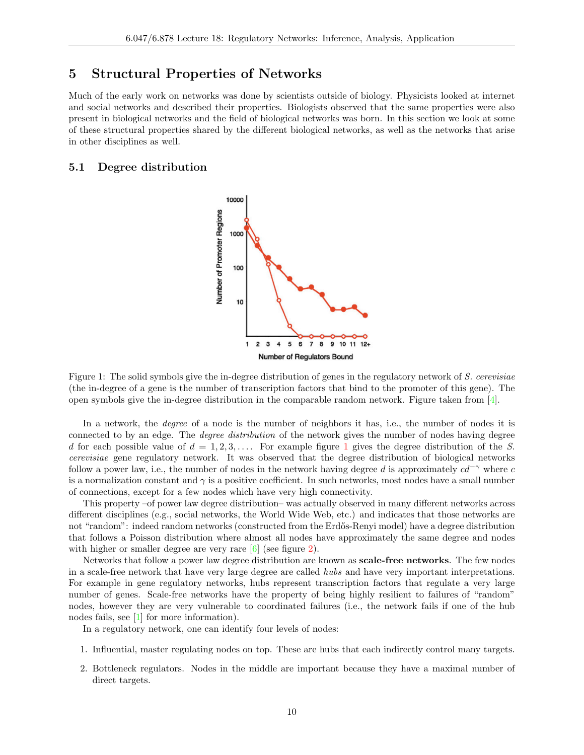### <span id="page-9-0"></span>5 Structural Properties of Networks

Much of the early work on networks was done by scientists outside of biology. Physicists looked at internet and social networks and described their properties. Biologists observed that the same properties were also present in biological networks and the field of biological networks was born. In this section we look at some of these structural properties shared by the different biological networks, as well as the networks that arise in other disciplines as well.

#### <span id="page-9-2"></span><span id="page-9-1"></span>5.1 Degree distribution



Figure 1: The solid symbols give the in-degree distribution of genes in the regulatory network of S. cerevisiae (the in-degree of a gene is the number of transcription factors that bind to the promoter of this gene). The open symbols give the in-degree distribution in the comparable random network. Figure taken from [\[4\]](#page-16-0).

In a network, the *degree* of a node is the number of neighbors it has, i.e., the number of nodes it is connected to by an edge. The degree distribution of the network gives the number of nodes having degree d for each possible value of  $d = 1, 2, 3, \ldots$  $d = 1, 2, 3, \ldots$  $d = 1, 2, 3, \ldots$ . For example figure 1 gives the degree distribution of the S. cerevisiae gene regulatory network. It was observed that the degree distribution of biological networks follow a power law, i.e., the number of nodes in the network having degree d is approximately  $cd^{-\gamma}$  where c is a normalization constant and  $\gamma$  is a positive coefficient. In such networks, most nodes have a small number of connections, except for a few nodes which have very high connectivity.

This property –of power law degree distribution– was actually observed in many different networks across different disciplines (e.g., social networks, the World Wide Web, etc.) and indicates that those networks are not "random": indeed random networks (constructed from the Erdős-Renyi model) have a degree distribution that follows a Poisson distribution where almost all nodes have approximately the same degree and nodes with higher or smaller degree are very rare [\[6\]](#page-16-1) (see figure [2\)](#page-10-2).

Networks that follow a power law degree distribution are known as scale-free networks. The few nodes in a scale-free network that have very large degree are called hubs and have very important interpretations. For example in gene regulatory networks, hubs represent transcription factors that regulate a very large number of genes. Scale-free networks have the property of being highly resilient to failures of "random" nodes, however they are very vulnerable to coordinated failures (i.e., the network fails if one of the hub nodes fails, see [\[1\]](#page-16-2) for more information).

In a regulatory network, one can identify four levels of nodes:

- 1. Influential, master regulating nodes on top. These are hubs that each indirectly control many targets.
- 2. Bottleneck regulators. Nodes in the middle are important because they have a maximal number of direct targets.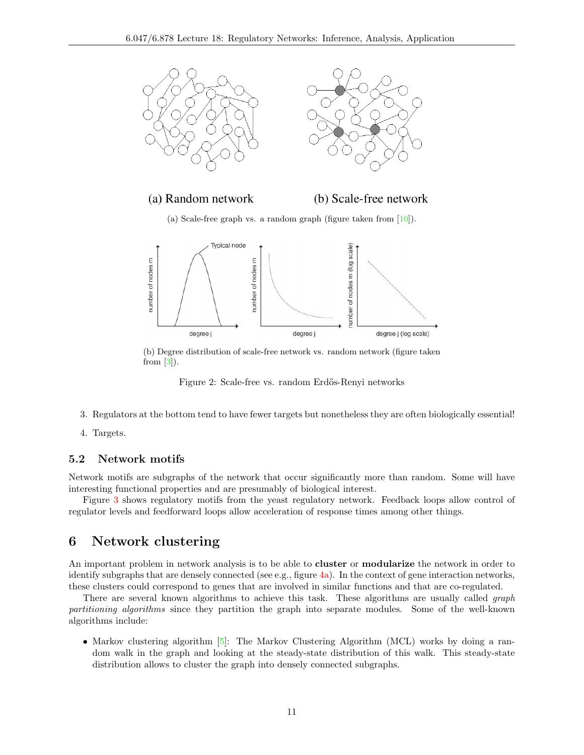<span id="page-10-2"></span>

#### (a) Random network (b) Scale-free network

(a) Scale-free graph vs. a random graph (figure taken from [\[10\]](#page-16-3)).



(b) Degree distribution of scale-free network vs. random network (figure taken from  $[3]$ ).

Figure 2: Scale-free vs. random Erdős-Renyi networks

- 3. Regulators at the bottom tend to have fewer targets but nonetheless they are often biologically essential!
- 4. Targets.

#### <span id="page-10-0"></span>5.2 Network motifs

Network motifs are subgraphs of the network that occur significantly more than random. Some will have interesting functional properties and are presumably of biological interest.

Figure [3](#page-11-1) shows regulatory motifs from the yeast regulatory network. Feedback loops allow control of regulator levels and feedforward loops allow acceleration of response times among other things.

### <span id="page-10-1"></span>6 Network clustering

An important problem in network analysis is to be able to cluster or modularize the network in order to identify subgraphs that are densely connected (see e.g., figure [4a\)](#page-12-0). In the context of gene interaction networks, these clusters could correspond to genes that are involved in similar functions and that are co-regulated.

There are several known algorithms to achieve this task. These algorithms are usually called *graph* partitioning algorithms since they partition the graph into separate modules. Some of the well-known algorithms include:

• Markov clustering algorithm [\[5\]](#page-16-5): The Markov Clustering Algorithm (MCL) works by doing a random walk in the graph and looking at the steady-state distribution of this walk. This steady-state distribution allows to cluster the graph into densely connected subgraphs.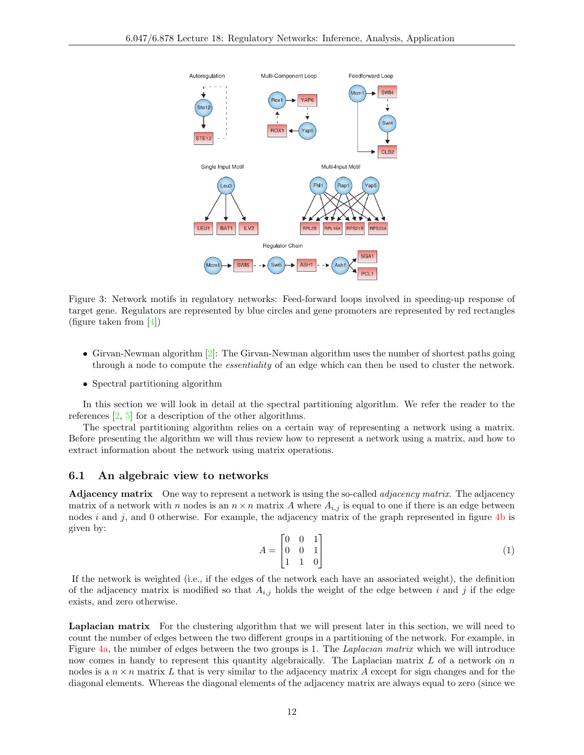<span id="page-11-1"></span>

Figure 3: Network motifs in regulatory networks: Feed-forward loops involved in speeding-up response of target gene. Regulators are represented by blue circles and gene promoters are represented by red rectangles (figure taken from [\[4\]](#page-16-0))

- Girvan-Newman algorithm  $[2]$ : The Girvan-Newman algorithm uses the number of shortest paths going through a node to compute the essentiality of an edge which can then be used to cluster the network.
- Spectral partitioning algorithm

In this section we will look in detail at the spectral partitioning algorithm. We refer the reader to the references [\[2,](#page-16-6) [5\]](#page-16-5) for a description of the other algorithms.

The spectral partitioning algorithm relies on a certain way of representing a network using a matrix. Before presenting the algorithm we will thus review how to represent a network using a matrix, and how to extract information about the network using matrix operations.

#### <span id="page-11-0"></span>6.1 An algebraic view to networks

Adjacency matrix One way to represent a network is using the so-called *adjacency matrix*. The adjacency matrix of a network with n nodes is an  $n \times n$  matrix A where  $A_{i,j}$  is equal to one if there is an edge between nodes i and j, and 0 otherwise. For example, the adjacency matrix of the graph represented in figure  $4b$  is given by:

<span id="page-11-2"></span>
$$
A = \begin{bmatrix} 0 & 0 & 1 \\ 0 & 0 & 1 \\ 1 & 1 & 0 \end{bmatrix} \tag{1}
$$

If the network is weighted (i.e., if the edges of the network each have an associated weight), the definition of the adjacency matrix is modified so that  $A_{i,j}$  holds the weight of the edge between i and j if the edge exists, and zero otherwise.

Laplacian matrix For the clustering algorithm that we will present later in this section, we will need to count the number of edges between the two different groups in a partitioning of the network. For example, in Figure [4a,](#page-12-0) the number of edges between the two groups is 1. The Laplacian matrix which we will introduce now comes in handy to represent this quantity algebraically. The Laplacian matrix  $L$  of a network on  $n$ nodes is a  $n \times n$  matrix L that is very similar to the adjacency matrix A except for sign changes and for the diagonal elements. Whereas the diagonal elements of the adjacency matrix are always equal to zero (since we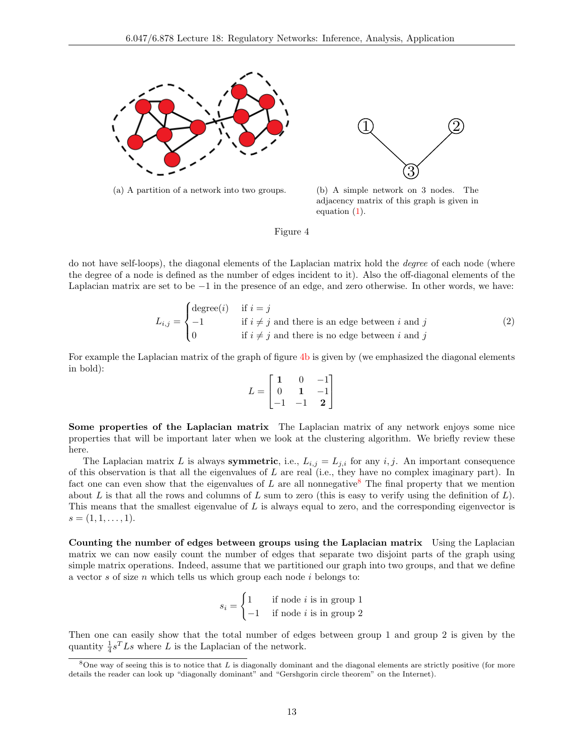<span id="page-12-0"></span>

(a) A partition of a network into two groups.



(b) A simple network on 3 nodes. The adjacency matrix of this graph is given in equation [\(1\)](#page-11-2).

Figure 4

do not have self-loops), the diagonal elements of the Laplacian matrix hold the degree of each node (where the degree of a node is defined as the number of edges incident to it). Also the off-diagonal elements of the Laplacian matrix are set to be −1 in the presence of an edge, and zero otherwise. In other words, we have:

$$
L_{i,j} = \begin{cases} \text{degree}(i) & \text{if } i = j \\ -1 & \text{if } i \neq j \text{ and there is an edge between } i \text{ and } j \\ 0 & \text{if } i \neq j \text{ and there is no edge between } i \text{ and } j \end{cases} \tag{2}
$$

For example the Laplacian matrix of the graph of figure [4b](#page-12-0) is given by (we emphasized the diagonal elements in bold):

$$
L = \begin{bmatrix} 1 & 0 & -1 \\ 0 & 1 & -1 \\ -1 & -1 & 2 \end{bmatrix}
$$

Some properties of the Laplacian matrix The Laplacian matrix of any network enjoys some nice properties that will be important later when we look at the clustering algorithm. We briefly review these here.

The Laplacian matrix L is always **symmetric**, i.e.,  $L_{i,j} = L_{j,i}$  for any i, j. An important consequence of this observation is that all the eigenvalues of L are real (i.e., they have no complex imaginary part). In fact one can even show that the eigenvalues of  $L$  are all nonnegative<sup>[8](#page-12-1)</sup> The final property that we mention about L is that all the rows and columns of L sum to zero (this is easy to verify using the definition of  $L$ ). This means that the smallest eigenvalue of L is always equal to zero, and the corresponding eigenvector is  $s = (1, 1, \ldots, 1).$ 

Counting the number of edges between groups using the Laplacian matrix Using the Laplacian matrix we can now easily count the number of edges that separate two disjoint parts of the graph using simple matrix operations. Indeed, assume that we partitioned our graph into two groups, and that we define a vector  $s$  of size  $n$  which tells us which group each node  $i$  belongs to:

$$
s_i = \begin{cases} 1 & \text{if node } i \text{ is in group } 1 \\ -1 & \text{if node } i \text{ is in group } 2 \end{cases}
$$

Then one can easily show that the total number of edges between group 1 and group 2 is given by the quantity  $\frac{1}{4}s^T L s$  where L is the Laplacian of the network.

<span id="page-12-1"></span> $8$ One way of seeing this is to notice that L is diagonally dominant and the diagonal elements are strictly positive (for more details the reader can look up "diagonally dominant" and "Gershgorin circle theorem" on the Internet).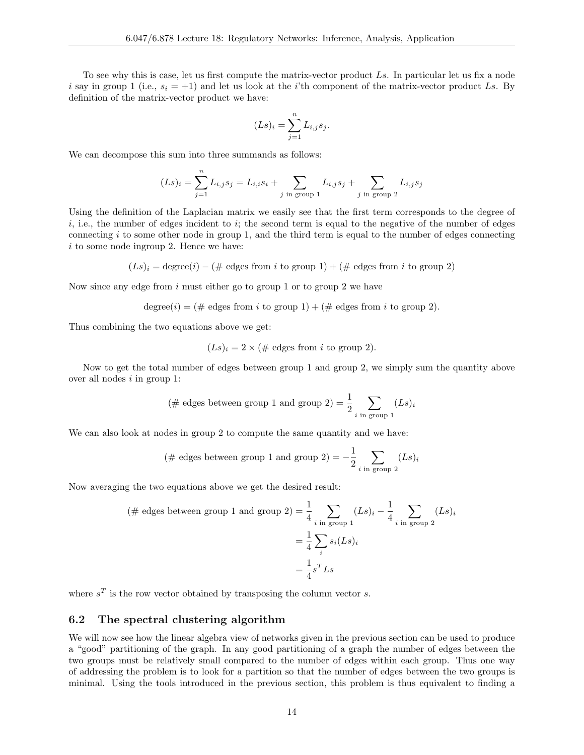To see why this is case, let us first compute the matrix-vector product Ls. In particular let us fix a node i say in group 1 (i.e.,  $s_i = +1$ ) and let us look at the i'th component of the matrix-vector product Ls. By definition of the matrix-vector product we have:

$$
(Ls)_i = \sum_{j=1}^n L_{i,j} s_j.
$$

We can decompose this sum into three summands as follows:

$$
(Ls)_i = \sum_{j=1}^n L_{i,j} s_j = L_{i,i} s_i + \sum_{j \text{ in group } 1} L_{i,j} s_j + \sum_{j \text{ in group } 2} L_{i,j} s_j
$$

Using the definition of the Laplacian matrix we easily see that the first term corresponds to the degree of i, i.e., the number of edges incident to i; the second term is equal to the negative of the number of edges connecting  $i$  to some other node in group 1, and the third term is equal to the number of edges connecting i to some node ingroup 2. Hence we have:

$$
(Ls)_i = \text{degree}(i) - (\# \text{ edges from } i \text{ to group } 1) + (\# \text{ edges from } i \text{ to group } 2)
$$

Now since any edge from  $i$  must either go to group 1 or to group 2 we have

degree(*i*) = (
$$
\#
$$
 edges from *i* to group 1) + ( $\#$  edges from *i* to group 2).

Thus combining the two equations above we get:

$$
(Ls)_i = 2 \times (\# \text{ edges from } i \text{ to group } 2).
$$

Now to get the total number of edges between group 1 and group 2, we simply sum the quantity above over all nodes  $i$  in group 1:

$$
(\# \text{ edges between group 1 and group 2}) = \frac{1}{2} \sum_{i \text{ in group 1}} (Ls)_i
$$

We can also look at nodes in group 2 to compute the same quantity and we have:

$$
(\# \text{ edges between group 1 and group 2}) = -\frac{1}{2} \sum_{i \text{ in group 2}} (Ls)_i
$$

Now averaging the two equations above we get the desired result:

$$
(\#\text{ edges between group 1 and group 2}) = \frac{1}{4} \sum_{i \text{ in group 1}} (Ls)_i - \frac{1}{4} \sum_{i \text{ in group 2}} (Ls)_i
$$

$$
= \frac{1}{4} \sum_{i} s_i (Ls)_i
$$

$$
= \frac{1}{4} s^T Ls
$$

where  $s<sup>T</sup>$  is the row vector obtained by transposing the column vector s.

#### <span id="page-13-0"></span>6.2 The spectral clustering algorithm

We will now see how the linear algebra view of networks given in the previous section can be used to produce a "good" partitioning of the graph. In any good partitioning of a graph the number of edges between the two groups must be relatively small compared to the number of edges within each group. Thus one way of addressing the problem is to look for a partition so that the number of edges between the two groups is minimal. Using the tools introduced in the previous section, this problem is thus equivalent to finding a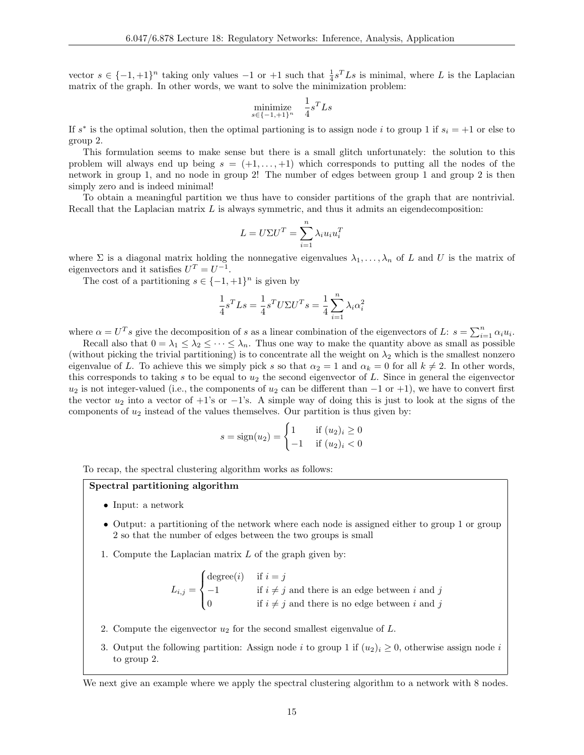vector  $s \in \{-1, +1\}^n$  taking only values  $-1$  or  $+1$  such that  $\frac{1}{4}s^T L s$  is minimal, where L is the Laplacian matrix of the graph. In other words, we want to solve the minimization problem:

$$
\underset{s \in \{-1, +1\}^n}{\text{minimize}} \quad \frac{1}{4} s^T L s
$$

If  $s^*$  is the optimal solution, then the optimal partioning is to assign node i to group 1 if  $s_i = +1$  or else to group 2.

This formulation seems to make sense but there is a small glitch unfortunately: the solution to this problem will always end up being  $s = (+1, \ldots, +1)$  which corresponds to putting all the nodes of the network in group 1, and no node in group 2! The number of edges between group 1 and group 2 is then simply zero and is indeed minimal!

To obtain a meaningful partition we thus have to consider partitions of the graph that are nontrivial. Recall that the Laplacian matrix  $L$  is always symmetric, and thus it admits an eigendecomposition:

$$
L = U\Sigma U^T = \sum_{i=1}^n \lambda_i u_i u_i^T
$$

where  $\Sigma$  is a diagonal matrix holding the nonnegative eigenvalues  $\lambda_1, \ldots, \lambda_n$  of L and U is the matrix of eigenvectors and it satisfies  $U^T = U^{-1}$ .

The cost of a partitioning  $s \in \{-1, +1\}^n$  is given by

$$
\frac{1}{4}s^T L s = \frac{1}{4}s^T U\Sigma U^T s = \frac{1}{4}\sum_{i=1}^n \lambda_i \alpha_i^2
$$

where  $\alpha = U^T s$  give the decomposition of s as a linear combination of the eigenvectors of L:  $s = \sum_{i=1}^n \alpha_i u_i$ .

Recall also that  $0 = \lambda_1 \leq \lambda_2 \leq \cdots \leq \lambda_n$ . Thus one way to make the quantity above as small as possible (without picking the trivial partitioning) is to concentrate all the weight on  $\lambda_2$  which is the smallest nonzero eigenvalue of L. To achieve this we simply pick s so that  $\alpha_2 = 1$  and  $\alpha_k = 0$  for all  $k \neq 2$ . In other words, this corresponds to taking s to be equal to  $u_2$  the second eigenvector of L. Since in general the eigenvector  $u_2$  is not integer-valued (i.e., the components of  $u_2$  can be different than  $-1$  or  $+1$ ), we have to convert first the vector  $u_2$  into a vector of +1's or -1's. A simple way of doing this is just to look at the signs of the components of  $u_2$  instead of the values themselves. Our partition is thus given by:

$$
s = sign(u_2) = \begin{cases} 1 & \text{if } (u_2)_i \ge 0 \\ -1 & \text{if } (u_2)_i < 0 \end{cases}
$$

To recap, the spectral clustering algorithm works as follows:

Spectral partitioning algorithm

- Input: a network
- Output: a partitioning of the network where each node is assigned either to group 1 or group 2 so that the number of edges between the two groups is small
- 1. Compute the Laplacian matrix  $L$  of the graph given by:

$$
L_{i,j} = \begin{cases} \text{degree}(i) & \text{if } i = j \\ -1 & \text{if } i \neq j \text{ and there is an edge between } i \text{ and } j \\ 0 & \text{if } i \neq j \text{ and there is no edge between } i \text{ and } j \end{cases}
$$

- 2. Compute the eigenvector  $u_2$  for the second smallest eigenvalue of  $L$ .
- 3. Output the following partition: Assign node i to group 1 if  $(u_2)_i \geq 0$ , otherwise assign node i to group 2.

We next give an example where we apply the spectral clustering algorithm to a network with 8 nodes.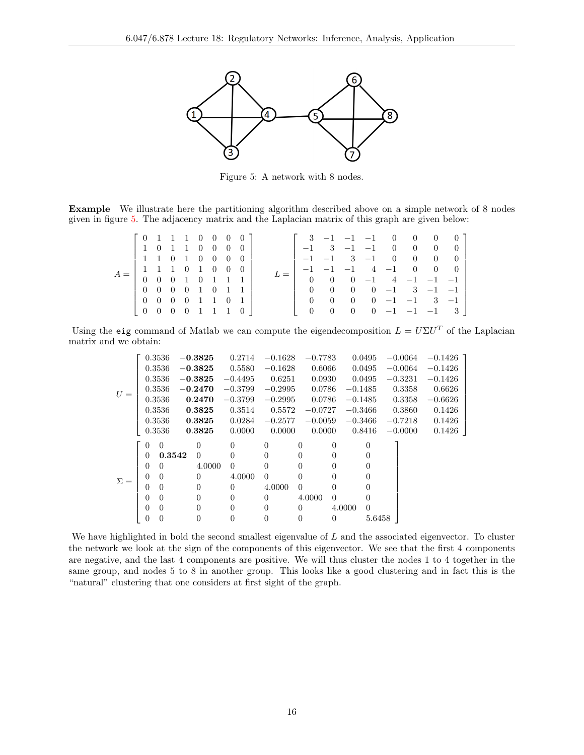<span id="page-15-0"></span>

Figure 5: A network with 8 nodes.

Example We illustrate here the partitioning algorithm described above on a simple network of 8 nodes given in figure [5.](#page-15-0) The adjacency matrix and the Laplacian matrix of this graph are given below:

| $\begin{bmatrix} 0 & 1 & 1 & 1 & 0 & 0 & 0 & 0 \end{bmatrix}$ |  |  |                 |  |  |                           |  |  |  | $\begin{bmatrix} 3 & -1 & -1 & -1 & 0 & 0 & 0 & 0 \end{bmatrix}$ |  |
|---------------------------------------------------------------|--|--|-----------------|--|--|---------------------------|--|--|--|------------------------------------------------------------------|--|
| 1 0 1 1 0 0 0 0                                               |  |  |                 |  |  | $ -1$ 3 $-1$ $-1$ 0 0 0 0 |  |  |  |                                                                  |  |
| 1 1 0 1 0 0 0 0                                               |  |  |                 |  |  | $ -1$ $-1$ 3 $-1$ 0 0 0 0 |  |  |  |                                                                  |  |
|                                                               |  |  | 1 1 1 0 1 0 0 0 |  |  |                           |  |  |  | $-1$ $-1$ $-1$ 4 $-1$ 0 0 0                                      |  |
| 0 0 0 1 0 1 1 1                                               |  |  |                 |  |  |                           |  |  |  | $0 \t 0 \t 0 \t -1 \t 4 \t -1 \t -1 \t -1$                       |  |
| 100001011                                                     |  |  |                 |  |  |                           |  |  |  | $0 \t 0 \t 0 \t 0 \t -1 \t 3 \t -1 \t -1$                        |  |
| 100001101                                                     |  |  |                 |  |  |                           |  |  |  | $0 \t 0 \t 0 \t 0 \t -1 \t -1 \t 3 \t -1$                        |  |
|                                                               |  |  |                 |  |  |                           |  |  |  | $0 \t 0 \t 0 \t 0 \t -1 \t -1 \t -1 \t 3$                        |  |

Using the eig command of Matlab we can compute the eigendecomposition  $L = U \Sigma U^T$  of the Laplacian matrix and we obtain:

|            |                | 0.3536   | $-0.3825$      | 0.2714    | $-0.1628$      | $-0.7783$ |          | 0.0495    | $-0.0064$ | $-0.1426$ |
|------------|----------------|----------|----------------|-----------|----------------|-----------|----------|-----------|-----------|-----------|
|            |                | 0.3536   | $-0.3825$      | 0.5580    | $-0.1628$      | 0.6066    |          | 0.0495    | $-0.0064$ | $-0.1426$ |
|            |                | 0.3536   | $-0.3825$      | $-0.4495$ | 0.6251         | 0.0930    |          | 0.0495    | $-0.3231$ | $-0.1426$ |
| $U =$      |                | 0.3536   | $-0.2470$      | $-0.3799$ | $-0.2995$      | 0.0786    |          | $-0.1485$ | 0.3358    | 0.6626    |
|            |                | 0.3536   | 0.2470         | $-0.3799$ | $-0.2995$      | 0.0786    |          | $-0.1485$ | 0.3358    | $-0.6626$ |
|            |                | 0.3536   | 0.3825         | 0.3514    | 0.5572         | $-0.0727$ |          | $-0.3466$ | 0.3860    | 0.1426    |
|            |                | 0.3536   | 0.3825         | 0.0284    | $-0.2577$      | $-0.0059$ |          | $-0.3466$ | $-0.7218$ | 0.1426    |
|            |                | 0.3536   | 0.3825         | 0.0000    | 0.0000         | 0.0000    |          | 0.8416    | $-0.0000$ | 0.1426    |
|            | 0              | $\Omega$ | $\Omega$       | 0         | $\overline{0}$ | $\Omega$  | $\Omega$ | $\Omega$  |           |           |
|            | $\Omega$       | 0.3542   | $\Omega$       | 0         | $\Omega$       | $\Omega$  | $\Omega$ | 0         |           |           |
|            | $\overline{0}$ | $\theta$ | 4.0000         | $\theta$  | $\theta$       | $\Omega$  | $\Omega$ | 0         |           |           |
| $\Sigma =$ | $\Omega$       | $\Omega$ | 0              | 4.0000    | $\overline{0}$ | $\Omega$  | $\Omega$ | $\theta$  |           |           |
|            | $\overline{0}$ | $\Omega$ | $\Omega$       | 0         | 4.0000         | $\theta$  | $\Omega$ | $\Omega$  |           |           |
|            | $\theta$       | $\Omega$ | $\Omega$       | $\theta$  | $\Omega$       | 4.0000    | $\Omega$ | 0         |           |           |
|            | $\Omega$       | $\Omega$ | $\overline{0}$ | $\theta$  | $\overline{0}$ | $\Omega$  | 4.0000   | $\theta$  |           |           |
|            |                | 0        | 0              |           | 0              | 0         | 0        | 5.6458    |           |           |

We have highlighted in bold the second smallest eigenvalue of L and the associated eigenvector. To cluster the network we look at the sign of the components of this eigenvector. We see that the first 4 components are negative, and the last 4 components are positive. We will thus cluster the nodes 1 to 4 together in the same group, and nodes 5 to 8 in another group. This looks like a good clustering and in fact this is the "natural" clustering that one considers at first sight of the graph.